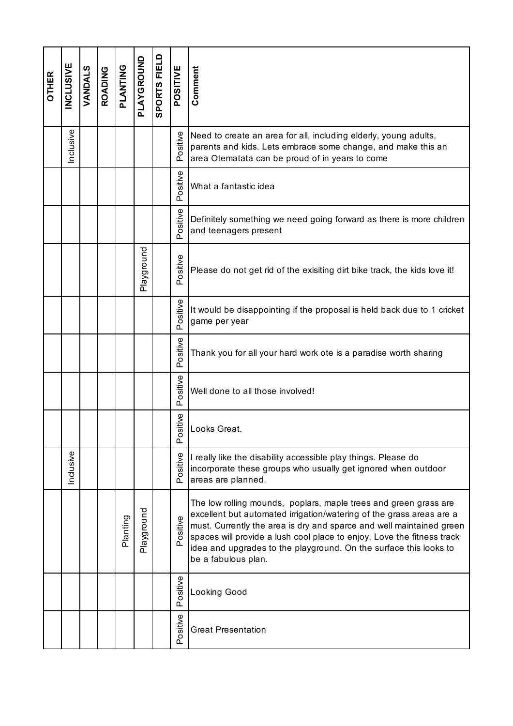| <b>OTHER</b> | <b>INCLUSIVE</b> | VANDALS | <b>ROADING</b> | PLANTING | PLAYGROUND | SPORTS FIELD | POSITIVE        | Comment                                                                                                                                                                                                                                                                                                                                                                                |
|--------------|------------------|---------|----------------|----------|------------|--------------|-----------------|----------------------------------------------------------------------------------------------------------------------------------------------------------------------------------------------------------------------------------------------------------------------------------------------------------------------------------------------------------------------------------------|
|              | Inclusive        |         |                |          |            |              | Positive        | Need to create an area for all, including elderly, young adults,<br>parents and kids. Lets embrace some change, and make this an<br>area Otematata can be proud of in years to come                                                                                                                                                                                                    |
|              |                  |         |                |          |            |              | Positive        | What a fantastic idea                                                                                                                                                                                                                                                                                                                                                                  |
|              |                  |         |                |          |            |              | Positive        | Definitely something we need going forward as there is more children<br>and teenagers present                                                                                                                                                                                                                                                                                          |
|              |                  |         |                |          | Playground |              | Positive        | Please do not get rid of the exisiting dirt bike track, the kids love it!                                                                                                                                                                                                                                                                                                              |
|              |                  |         |                |          |            |              | Positive        | It would be disappointing if the proposal is held back due to 1 cricket<br>game per year                                                                                                                                                                                                                                                                                               |
|              |                  |         |                |          |            |              | Positive        | Thank you for all your hard work ote is a paradise worth sharing                                                                                                                                                                                                                                                                                                                       |
|              |                  |         |                |          |            |              | Positive        | Well done to all those involved!                                                                                                                                                                                                                                                                                                                                                       |
|              |                  |         |                |          |            |              | sitive<br>ە<br> | Looks Great.                                                                                                                                                                                                                                                                                                                                                                           |
|              | Inclusive        |         |                |          |            |              | Positive        | I really like the disability accessible play things. Please do<br>incorporate these groups who usually get ignored when outdoor<br>areas are planned.                                                                                                                                                                                                                                  |
|              |                  |         |                | Planting | Playground |              | Positive        | The low rolling mounds, poplars, maple trees and green grass are<br>excellent but automated irrigation/watering of the grass areas are a<br>must. Currently the area is dry and sparce and well maintained green<br>spaces will provide a lush cool place to enjoy. Love the fitness track<br>idea and upgrades to the playground. On the surface this looks to<br>be a fabulous plan. |
|              |                  |         |                |          |            |              | Positive        | Looking Good                                                                                                                                                                                                                                                                                                                                                                           |
|              |                  |         |                |          |            |              | Positive        | <b>Great Presentation</b>                                                                                                                                                                                                                                                                                                                                                              |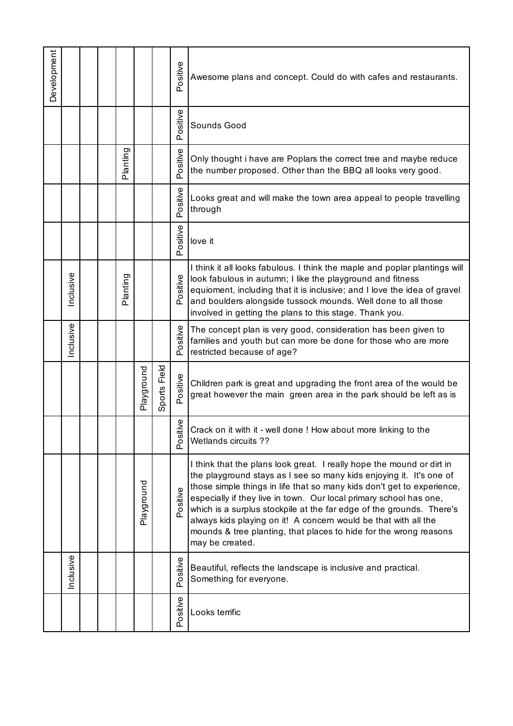| Development |           |  |          |            |                 | Positive     | Awesome plans and concept. Could do with cafes and restaurants.                                                                                                                                                                                                                                                                                                                                                                                                                                                                 |
|-------------|-----------|--|----------|------------|-----------------|--------------|---------------------------------------------------------------------------------------------------------------------------------------------------------------------------------------------------------------------------------------------------------------------------------------------------------------------------------------------------------------------------------------------------------------------------------------------------------------------------------------------------------------------------------|
|             |           |  |          |            |                 | Positive     | Sounds Good                                                                                                                                                                                                                                                                                                                                                                                                                                                                                                                     |
|             |           |  | Planting |            |                 | Positive     | Only thought i have are Poplars the correct tree and maybe reduce<br>the number proposed. Other than the BBQ all looks very good.                                                                                                                                                                                                                                                                                                                                                                                               |
|             |           |  |          |            |                 | Positive     | Looks great and will make the town area appeal to people travelling<br>through                                                                                                                                                                                                                                                                                                                                                                                                                                                  |
|             |           |  |          |            |                 | Positive     | love it                                                                                                                                                                                                                                                                                                                                                                                                                                                                                                                         |
|             | Inclusive |  | Planting |            |                 | Positive     | I think it all looks fabulous. I think the maple and poplar plantings will<br>look fabulous in autumn; I like the playground and fitness<br>equioment, including that it is inclusive; and I love the idea of gravel<br>and boulders alongside tussock mounds. Well done to all those<br>involved in getting the plans to this stage. Thank you.                                                                                                                                                                                |
|             | nclusive  |  |          |            |                 | Positive     | The concept plan is very good, consideration has been given to<br>families and youth but can more be done for those who are more<br>restricted because of age?                                                                                                                                                                                                                                                                                                                                                                  |
|             |           |  |          | Playground | Field<br>Sports | Positive     | Children park is great and upgrading the front area of the would be<br>great however the main green area in the park should be left as is                                                                                                                                                                                                                                                                                                                                                                                       |
|             |           |  |          |            |                 | tive<br>Posi | Crack on it with it - well done ! How about more linking to the<br>Wetlands circuits ??                                                                                                                                                                                                                                                                                                                                                                                                                                         |
|             |           |  |          | Playground |                 | Positive     | I think that the plans look great. I really hope the mound or dirt in<br>the playground stays as I see so many kids enjoying it. It's one of<br>those simple things in life that so many kids don't get to experience,<br>especially if they live in town. Our local primary school has one,<br>which is a surplus stockpile at the far edge of the grounds. There's<br>always kids playing on it! A concern would be that with all the<br>mounds & tree planting, that places to hide for the wrong reasons<br>may be created. |
|             | Inclusive |  |          |            |                 | Positive     | Beautiful, reflects the landscape is inclusive and practical.<br>Something for everyone.                                                                                                                                                                                                                                                                                                                                                                                                                                        |
|             |           |  |          |            |                 | Positive     | Looks terrific                                                                                                                                                                                                                                                                                                                                                                                                                                                                                                                  |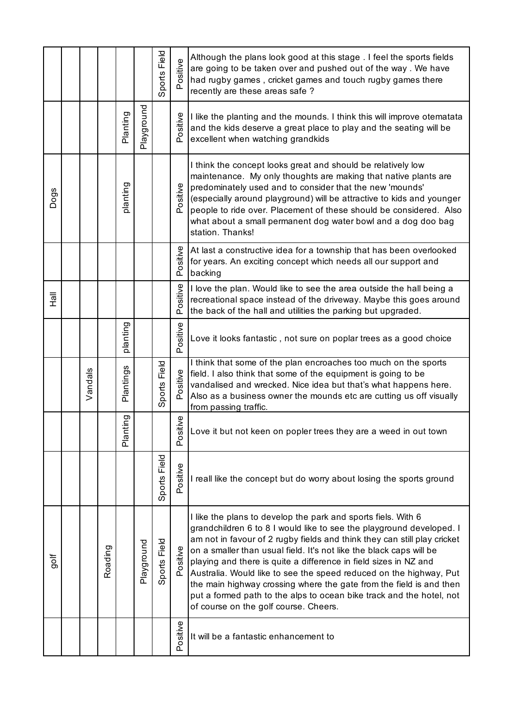|              |         |         |                         |            | Field<br>Sports <b>F</b> | Positive | Although the plans look good at this stage . I feel the sports fields<br>are going to be taken over and pushed out of the way. We have<br>had rugby games, cricket games and touch rugby games there<br>recently are these areas safe?                                                                                                                                                                                                                                                                                                                                                                                     |
|--------------|---------|---------|-------------------------|------------|--------------------------|----------|----------------------------------------------------------------------------------------------------------------------------------------------------------------------------------------------------------------------------------------------------------------------------------------------------------------------------------------------------------------------------------------------------------------------------------------------------------------------------------------------------------------------------------------------------------------------------------------------------------------------------|
|              |         |         | Planting                | Playground |                          | Positive | I like the planting and the mounds. I think this will improve otematata<br>and the kids deserve a great place to play and the seating will be<br>excellent when watching grandkids                                                                                                                                                                                                                                                                                                                                                                                                                                         |
| Dogs         |         |         | planting                |            |                          | Positive | I think the concept looks great and should be relatively low<br>maintenance. My only thoughts are making that native plants are<br>predominately used and to consider that the new 'mounds'<br>(especially around playground) will be attractive to kids and younger<br>people to ride over. Placement of these should be considered. Also<br>what about a small permanent dog water bowl and a dog doo bag<br>station. Thanks!                                                                                                                                                                                            |
|              |         |         |                         |            |                          | Positive | At last a constructive idea for a township that has been overlooked<br>for years. An exciting concept which needs all our support and<br>backing                                                                                                                                                                                                                                                                                                                                                                                                                                                                           |
| <b>II</b> eH |         |         |                         |            |                          | Positive | I love the plan. Would like to see the area outside the hall being a<br>recreational space instead of the driveway. Maybe this goes around<br>the back of the hall and utilities the parking but upgraded.                                                                                                                                                                                                                                                                                                                                                                                                                 |
|              |         |         | planting                |            |                          | Positive | Love it looks fantastic, not sure on poplar trees as a good choice                                                                                                                                                                                                                                                                                                                                                                                                                                                                                                                                                         |
|              | Vandals |         | Plantings               |            | Field<br>Sports          | Positive | I think that some of the plan encroaches too much on the sports<br>field. I also think that some of the equipment is going to be<br>vandalised and wrecked. Nice idea but that's what happens here.<br>Also as a business owner the mounds etc are cutting us off visually<br>from passing traffic.                                                                                                                                                                                                                                                                                                                        |
|              |         |         | inting<br>$\frac{a}{b}$ |            |                          | Positive | ove it but not keen on popler trees they are a weed in out town                                                                                                                                                                                                                                                                                                                                                                                                                                                                                                                                                            |
|              |         |         |                         |            | Field<br>Sports I        | Positive | I reall like the concept but do worry about losing the sports ground                                                                                                                                                                                                                                                                                                                                                                                                                                                                                                                                                       |
| golf         |         | Roading |                         | Playground | Field<br>Sports          | Positive | I like the plans to develop the park and sports fiels. With 6<br>grandchildren 6 to 8 I would like to see the playground developed. I<br>am not in favour of 2 rugby fields and think they can still play cricket<br>on a smaller than usual field. It's not like the black caps will be<br>playing and there is quite a difference in field sizes in NZ and<br>Australia. Would like to see the speed reduced on the highway, Put<br>the main highway crossing where the gate from the field is and then<br>put a formed path to the alps to ocean bike track and the hotel, not<br>of course on the golf course. Cheers. |
|              |         |         |                         |            |                          | Positive | It will be a fantastic enhancement to                                                                                                                                                                                                                                                                                                                                                                                                                                                                                                                                                                                      |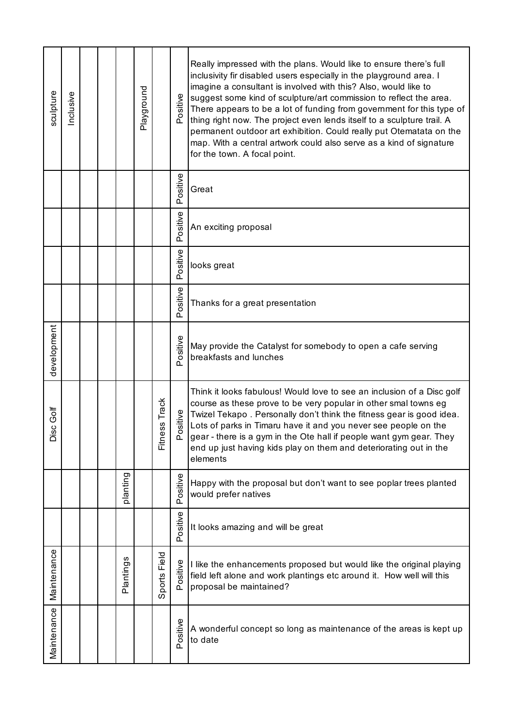| sculpture       | nclusive |  |           | Playground |                              | Positive     | Really impressed with the plans. Would like to ensure there's full<br>inclusivity fir disabled users especially in the playground area. I<br>imagine a consultant is involved with this? Also, would like to<br>suggest some kind of sculpture/art commission to reflect the area.<br>There appears to be a lot of funding from government for this type of<br>thing right now. The project even lends itself to a sculpture trail. A<br>permanent outdoor art exhibition. Could really put Otematata on the<br>map. With a central artwork could also serve as a kind of signature<br>for the town. A focal point. |
|-----------------|----------|--|-----------|------------|------------------------------|--------------|---------------------------------------------------------------------------------------------------------------------------------------------------------------------------------------------------------------------------------------------------------------------------------------------------------------------------------------------------------------------------------------------------------------------------------------------------------------------------------------------------------------------------------------------------------------------------------------------------------------------|
|                 |          |  |           |            |                              | Positive     | Great                                                                                                                                                                                                                                                                                                                                                                                                                                                                                                                                                                                                               |
|                 |          |  |           |            |                              | ositive<br>൨ | An exciting proposal                                                                                                                                                                                                                                                                                                                                                                                                                                                                                                                                                                                                |
|                 |          |  |           |            |                              | Positive     | looks great                                                                                                                                                                                                                                                                                                                                                                                                                                                                                                                                                                                                         |
|                 |          |  |           |            |                              | Positive     | Thanks for a great presentation                                                                                                                                                                                                                                                                                                                                                                                                                                                                                                                                                                                     |
| development     |          |  |           |            |                              | ositive      | May provide the Catalyst for somebody to open a cafe serving<br>breakfasts and lunches                                                                                                                                                                                                                                                                                                                                                                                                                                                                                                                              |
| Golf<br>SC<br>≏ |          |  |           |            | ss Track<br>Φ<br>山<br>三<br>上 | ositive<br>൨ | Think it looks fabulous! Would love to see an inclusion of a Disc golf<br>course as these prove to be very popular in other smal towns eg<br>Twizel Tekapo. Personally don't think the fitness gear is good idea.<br>Lots of parks in Timaru have it and you never see people on the<br>gear - there is a gym in the Ote hall if people want gym gear. They<br>end up just having kids play on them and deteriorating out in the<br>elements                                                                                                                                                                        |
|                 |          |  | planting  |            |                              | Positive     | Happy with the proposal but don't want to see poplar trees planted<br>would prefer natives                                                                                                                                                                                                                                                                                                                                                                                                                                                                                                                          |
|                 |          |  |           |            |                              | Positive     | It looks amazing and will be great                                                                                                                                                                                                                                                                                                                                                                                                                                                                                                                                                                                  |
| Maintenance     |          |  | Plantings |            | ports Field<br>$\omega$      | Positive     | I like the enhancements proposed but would like the original playing<br>field left alone and work plantings etc around it. How well will this<br>proposal be maintained?                                                                                                                                                                                                                                                                                                                                                                                                                                            |
| Maintenance     |          |  |           |            |                              | Positive     | A wonderful concept so long as maintenance of the areas is kept up<br>to date                                                                                                                                                                                                                                                                                                                                                                                                                                                                                                                                       |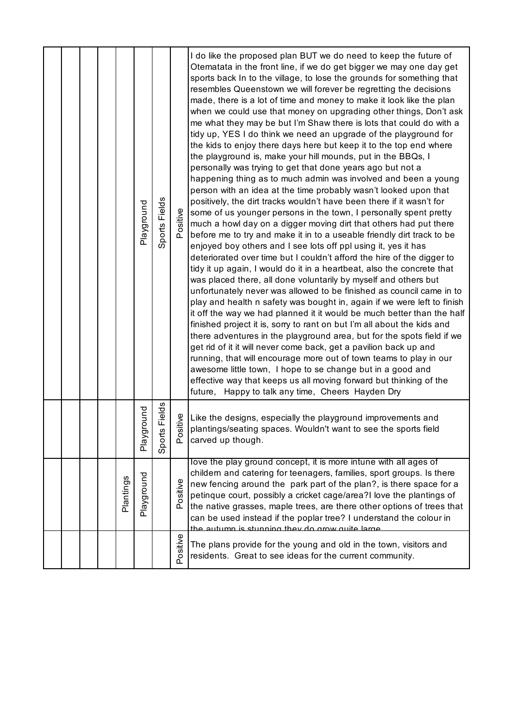|  |  |           | Playground     | Sports Fields         | Positive    | I do like the proposed plan BUT we do need to keep the future of<br>Otematata in the front line, if we do get bigger we may one day get<br>sports back In to the village, to lose the grounds for something that<br>resembles Queenstown we will forever be regretting the decisions<br>made, there is a lot of time and money to make it look like the plan<br>when we could use that money on upgrading other things, Don't ask<br>me what they may be but I'm Shaw there is lots that could do with a<br>tidy up, YES I do think we need an upgrade of the playground for<br>the kids to enjoy there days here but keep it to the top end where<br>the playground is, make your hill mounds, put in the BBQs, I<br>personally was trying to get that done years ago but not a<br>happening thing as to much admin was involved and been a young<br>person with an idea at the time probably wasn't looked upon that<br>positively, the dirt tracks wouldn't have been there if it wasn't for<br>some of us younger persons in the town, I personally spent pretty<br>much a howl day on a digger moving dirt that others had put there<br>before me to try and make it in to a useable friendly dirt track to be<br>enjoyed boy others and I see lots off ppl using it, yes it has<br>deteriorated over time but I couldn't afford the hire of the digger to<br>tidy it up again, I would do it in a heartbeat, also the concrete that<br>was placed there, all done voluntarily by myself and others but<br>unfortunately never was allowed to be finished as council came in to<br>play and health n safety was bought in, again if we were left to finish<br>it off the way we had planned it it would be much better than the half<br>finished project it is, sorry to rant on but I'm all about the kids and<br>there adventures in the playground area, but for the spots field if we<br>get rid of it it will never come back, get a pavilion back up and<br>running, that will encourage more out of town teams to play in our<br>awesome little town, I hope to se change but in a good and |
|--|--|-----------|----------------|-----------------------|-------------|---------------------------------------------------------------------------------------------------------------------------------------------------------------------------------------------------------------------------------------------------------------------------------------------------------------------------------------------------------------------------------------------------------------------------------------------------------------------------------------------------------------------------------------------------------------------------------------------------------------------------------------------------------------------------------------------------------------------------------------------------------------------------------------------------------------------------------------------------------------------------------------------------------------------------------------------------------------------------------------------------------------------------------------------------------------------------------------------------------------------------------------------------------------------------------------------------------------------------------------------------------------------------------------------------------------------------------------------------------------------------------------------------------------------------------------------------------------------------------------------------------------------------------------------------------------------------------------------------------------------------------------------------------------------------------------------------------------------------------------------------------------------------------------------------------------------------------------------------------------------------------------------------------------------------------------------------------------------------------------------------------------------------------------------------------------------------------------------------------|
|  |  |           |                |                       |             | effective way that keeps us all moving forward but thinking of the<br>future, Happy to talk any time, Cheers Hayden Dry                                                                                                                                                                                                                                                                                                                                                                                                                                                                                                                                                                                                                                                                                                                                                                                                                                                                                                                                                                                                                                                                                                                                                                                                                                                                                                                                                                                                                                                                                                                                                                                                                                                                                                                                                                                                                                                                                                                                                                                 |
|  |  |           | ground<br>Play | Fields<br>S<br>Sports | sitive<br>ă | Like the designs, especially the playground improvements and<br>plantings/seating spaces. Wouldn't want to see the sports field<br>carved up though.                                                                                                                                                                                                                                                                                                                                                                                                                                                                                                                                                                                                                                                                                                                                                                                                                                                                                                                                                                                                                                                                                                                                                                                                                                                                                                                                                                                                                                                                                                                                                                                                                                                                                                                                                                                                                                                                                                                                                    |
|  |  | Plantings | Playground     |                       | Positive    | love the play ground concept, it is more intune with all ages of<br>childern and catering for teenagers, families, sport groups. Is there<br>new fencing around the park part of the plan?, is there space for a<br>petinque court, possibly a cricket cage/area?I love the plantings of<br>the native grasses, maple trees, are there other options of trees that<br>can be used instead if the poplar tree? I understand the colour in<br>the autumn is stunning they do grow quite large                                                                                                                                                                                                                                                                                                                                                                                                                                                                                                                                                                                                                                                                                                                                                                                                                                                                                                                                                                                                                                                                                                                                                                                                                                                                                                                                                                                                                                                                                                                                                                                                             |
|  |  |           |                |                       | Positive    | The plans provide for the young and old in the town, visitors and<br>residents. Great to see ideas for the current community.                                                                                                                                                                                                                                                                                                                                                                                                                                                                                                                                                                                                                                                                                                                                                                                                                                                                                                                                                                                                                                                                                                                                                                                                                                                                                                                                                                                                                                                                                                                                                                                                                                                                                                                                                                                                                                                                                                                                                                           |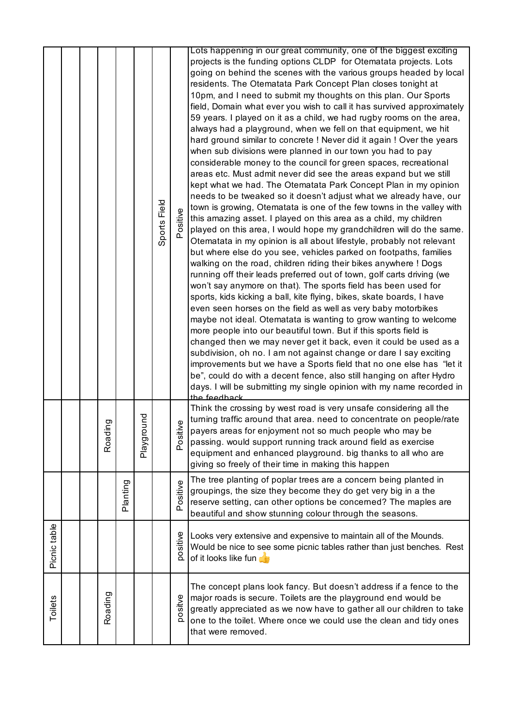|              |  |             |          |            | Sports Field | ositive      | Lots happening in our great community, one of the biggest exciting<br>projects is the funding options CLDP for Otematata projects. Lots<br>going on behind the scenes with the various groups headed by local<br>residents. The Otematata Park Concept Plan closes tonight at<br>10pm, and I need to submit my thoughts on this plan. Our Sports<br>field, Domain what ever you wish to call it has survived approximately<br>59 years. I played on it as a child, we had rugby rooms on the area,<br>always had a playground, when we fell on that equipment, we hit<br>hard ground similar to concrete ! Never did it again ! Over the years<br>when sub divisions were planned in our town you had to pay<br>considerable money to the council for green spaces, recreational<br>areas etc. Must admit never did see the areas expand but we still<br>kept what we had. The Otematata Park Concept Plan in my opinion<br>needs to be tweaked so it doesn't adjust what we already have, our<br>town is growing, Otematata is one of the few towns in the valley with<br>this amazing asset. I played on this area as a child, my children<br>played on this area, I would hope my grandchildren will do the same.<br>Otematata in my opinion is all about lifestyle, probably not relevant<br>but where else do you see, vehicles parked on footpaths, families<br>walking on the road, children riding their bikes anywhere ! Dogs<br>running off their leads preferred out of town, golf carts driving (we<br>won't say anymore on that). The sports field has been used for<br>sports, kids kicking a ball, kite flying, bikes, skate boards, I have<br>even seen horses on the field as well as very baby motorbikes<br>maybe not ideal. Otematata is wanting to grow wanting to welcome<br>more people into our beautiful town. But if this sports field is<br>changed then we may never get it back, even it could be used as a<br>subdivision, oh no. I am not against change or dare I say exciting<br>improvements but we have a Sports field that no one else has "let it<br>be", could do with a decent fence, also still hanging on after Hydro<br>days. I will be submitting my single opinion with my name recorded in<br>the feedback |
|--------------|--|-------------|----------|------------|--------------|--------------|---------------------------------------------------------------------------------------------------------------------------------------------------------------------------------------------------------------------------------------------------------------------------------------------------------------------------------------------------------------------------------------------------------------------------------------------------------------------------------------------------------------------------------------------------------------------------------------------------------------------------------------------------------------------------------------------------------------------------------------------------------------------------------------------------------------------------------------------------------------------------------------------------------------------------------------------------------------------------------------------------------------------------------------------------------------------------------------------------------------------------------------------------------------------------------------------------------------------------------------------------------------------------------------------------------------------------------------------------------------------------------------------------------------------------------------------------------------------------------------------------------------------------------------------------------------------------------------------------------------------------------------------------------------------------------------------------------------------------------------------------------------------------------------------------------------------------------------------------------------------------------------------------------------------------------------------------------------------------------------------------------------------------------------------------------------------------------------------------------------------------------------------------------------------------------------------------------------------------------------------------------|
|              |  | ing<br>Road |          | Playground |              | tive<br>Posi | Think the crossing by west road is very unsafe considering all the<br>turning traffic around that area. need to concentrate on people/rate<br>payers areas for enjoyment not so much people who may be<br>passing. would support running track around field as exercise<br>equipment and enhanced playground. big thanks to all who are<br>giving so freely of their time in making this happen                                                                                                                                                                                                                                                                                                                                                                                                                                                                                                                                                                                                                                                                                                                                                                                                                                                                                                                                                                                                                                                                                                                                                                                                                                                                                                                                                                                                                                                                                                                                                                                                                                                                                                                                                                                                                                                         |
|              |  |             | Planting |            |              | ositive<br>௳ | The tree planting of poplar trees are a concern being planted in<br>groupings, the size they become they do get very big in a the<br>reserve setting, can other options be concerned? The maples are<br>beautiful and show stunning colour through the seasons.                                                                                                                                                                                                                                                                                                                                                                                                                                                                                                                                                                                                                                                                                                                                                                                                                                                                                                                                                                                                                                                                                                                                                                                                                                                                                                                                                                                                                                                                                                                                                                                                                                                                                                                                                                                                                                                                                                                                                                                         |
| Picnic table |  |             |          |            |              | positive     | Looks very extensive and expensive to maintain all of the Mounds.<br>Would be nice to see some picnic tables rather than just benches. Rest<br>of it looks like fun                                                                                                                                                                                                                                                                                                                                                                                                                                                                                                                                                                                                                                                                                                                                                                                                                                                                                                                                                                                                                                                                                                                                                                                                                                                                                                                                                                                                                                                                                                                                                                                                                                                                                                                                                                                                                                                                                                                                                                                                                                                                                     |
| Toilets      |  | Roading     |          |            |              | positve      | The concept plans look fancy. But doesn't address if a fence to the<br>major roads is secure. Toilets are the playground end would be<br>greatly appreciated as we now have to gather all our children to take<br>one to the toilet. Where once we could use the clean and tidy ones<br>that were removed.                                                                                                                                                                                                                                                                                                                                                                                                                                                                                                                                                                                                                                                                                                                                                                                                                                                                                                                                                                                                                                                                                                                                                                                                                                                                                                                                                                                                                                                                                                                                                                                                                                                                                                                                                                                                                                                                                                                                              |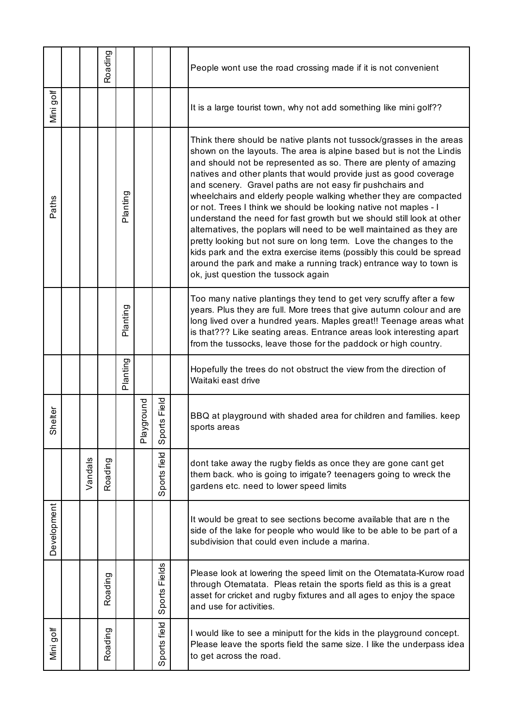|             |         | Roading |          |               |                     | People wont use the road crossing made if it is not convenient                                                                                                                                                                                                                                                                                                                                                                                                                                                                                                                                                                                                                                                                                                                                                                                                                                          |
|-------------|---------|---------|----------|---------------|---------------------|---------------------------------------------------------------------------------------------------------------------------------------------------------------------------------------------------------------------------------------------------------------------------------------------------------------------------------------------------------------------------------------------------------------------------------------------------------------------------------------------------------------------------------------------------------------------------------------------------------------------------------------------------------------------------------------------------------------------------------------------------------------------------------------------------------------------------------------------------------------------------------------------------------|
| Mini golf   |         |         |          |               |                     | It is a large tourist town, why not add something like mini golf??                                                                                                                                                                                                                                                                                                                                                                                                                                                                                                                                                                                                                                                                                                                                                                                                                                      |
| aths<br>௳   |         |         | Planting |               |                     | Think there should be native plants not tussock/grasses in the areas<br>shown on the layouts. The area is alpine based but is not the Lindis<br>and should not be represented as so. There are plenty of amazing<br>natives and other plants that would provide just as good coverage<br>and scenery. Gravel paths are not easy fir pushchairs and<br>wheelchairs and elderly people walking whether they are compacted<br>or not. Trees I think we should be looking native not maples - I<br>understand the need for fast growth but we should still look at other<br>alternatives, the poplars will need to be well maintained as they are<br>pretty looking but not sure on long term. Love the changes to the<br>kids park and the extra exercise items (possibly this could be spread<br>around the park and make a running track) entrance way to town is<br>ok, just question the tussock again |
|             |         |         | Planting |               |                     | Too many native plantings they tend to get very scruffy after a few<br>years. Plus they are full. More trees that give autumn colour and are<br>long lived over a hundred years. Maples great!! Teenage areas what<br>is that??? Like seating areas. Entrance areas look interesting apart<br>from the tussocks, leave those for the paddock or high country.                                                                                                                                                                                                                                                                                                                                                                                                                                                                                                                                           |
|             |         |         | Planting |               |                     | Hopefully the trees do not obstruct the view from the direction of<br>Waitaki east drive                                                                                                                                                                                                                                                                                                                                                                                                                                                                                                                                                                                                                                                                                                                                                                                                                |
| Shelter     |         |         |          | ayground<br>ᇟ | Field<br>orts<br>တိ | BBQ at playground with shaded area for children and families. keep<br>sports areas                                                                                                                                                                                                                                                                                                                                                                                                                                                                                                                                                                                                                                                                                                                                                                                                                      |
|             | Vandals | Roading |          |               | Sports field        | dont take away the rugby fields as once they are gone cant get<br>them back. who is going to irrigate? teenagers going to wreck the<br>gardens etc. need to lower speed limits                                                                                                                                                                                                                                                                                                                                                                                                                                                                                                                                                                                                                                                                                                                          |
| Development |         |         |          |               |                     | It would be great to see sections become available that are n the<br>side of the lake for people who would like to be able to be part of a<br>subdivision that could even include a marina.                                                                                                                                                                                                                                                                                                                                                                                                                                                                                                                                                                                                                                                                                                             |
|             |         | Roading |          |               | Fields<br>Sports    | Please look at lowering the speed limit on the Otematata-Kurow road<br>through Otematata. Pleas retain the sports field as this is a great<br>asset for cricket and rugby fixtures and all ages to enjoy the space<br>and use for activities.                                                                                                                                                                                                                                                                                                                                                                                                                                                                                                                                                                                                                                                           |
| Mini golf   |         | Roading |          |               | ports field<br>w    | I would like to see a miniputt for the kids in the playground concept.<br>Please leave the sports field the same size. I like the underpass idea<br>to get across the road.                                                                                                                                                                                                                                                                                                                                                                                                                                                                                                                                                                                                                                                                                                                             |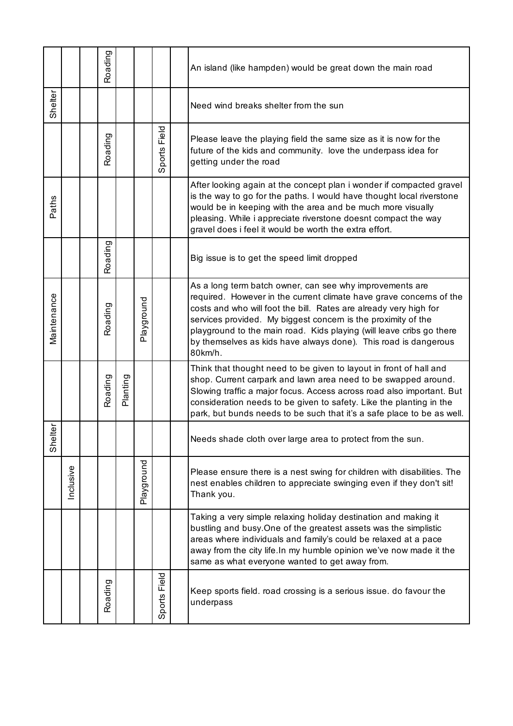|             |           | Roading |          |            |                                  | An island (like hampden) would be great down the main road                                                                                                                                                                                                                                                                                                                                                                  |
|-------------|-----------|---------|----------|------------|----------------------------------|-----------------------------------------------------------------------------------------------------------------------------------------------------------------------------------------------------------------------------------------------------------------------------------------------------------------------------------------------------------------------------------------------------------------------------|
| Shelter     |           |         |          |            |                                  | Need wind breaks shelter from the sun                                                                                                                                                                                                                                                                                                                                                                                       |
|             |           | Roading |          |            | Field<br>ports<br>$\overline{0}$ | Please leave the playing field the same size as it is now for the<br>future of the kids and community. love the underpass idea for<br>getting under the road                                                                                                                                                                                                                                                                |
| Paths       |           |         |          |            |                                  | After looking again at the concept plan i wonder if compacted gravel<br>is the way to go for the paths. I would have thought local riverstone<br>would be in keeping with the area and be much more visually<br>pleasing. While i appreciate riverstone doesnt compact the way<br>gravel does i feel it would be worth the extra effort.                                                                                    |
|             |           | Roading |          |            |                                  | Big issue is to get the speed limit dropped                                                                                                                                                                                                                                                                                                                                                                                 |
| Maintenance |           | Roading |          | Playground |                                  | As a long term batch owner, can see why improvements are<br>required. However in the current climate have grave concerns of the<br>costs and who will foot the bill. Rates are already very high for<br>services provided. My biggest concern is the proximity of the<br>playground to the main road. Kids playing (will leave cribs go there<br>by themselves as kids have always done). This road is dangerous<br>80km/h. |
|             |           | Roading | Planting |            |                                  | Think that thought need to be given to layout in front of hall and<br>shop. Current carpark and lawn area need to be swapped around.<br>Slowing traffic a major focus. Access across road also important. But<br>consideration needs to be given to safety. Like the planting in the<br>park, but bunds needs to be such that it's a safe place to be as well.                                                              |
| èr<br>Shel  |           |         |          |            |                                  | Needs shade cloth over large area to protect from the sun.                                                                                                                                                                                                                                                                                                                                                                  |
|             | Inclusive |         |          | Playground |                                  | Please ensure there is a nest swing for children with disabilities. The<br>nest enables children to appreciate swinging even if they don't sit!<br>Thank you.                                                                                                                                                                                                                                                               |
|             |           |         |          |            |                                  | Taking a very simple relaxing holiday destination and making it<br>bustling and busy. One of the greatest assets was the simplistic<br>areas where individuals and family's could be relaxed at a pace<br>away from the city life. In my humble opinion we've now made it the<br>same as what everyone wanted to get away from.                                                                                             |
|             |           | Roading |          |            | Field<br>Sports                  | Keep sports field. road crossing is a serious issue. do favour the<br>underpass                                                                                                                                                                                                                                                                                                                                             |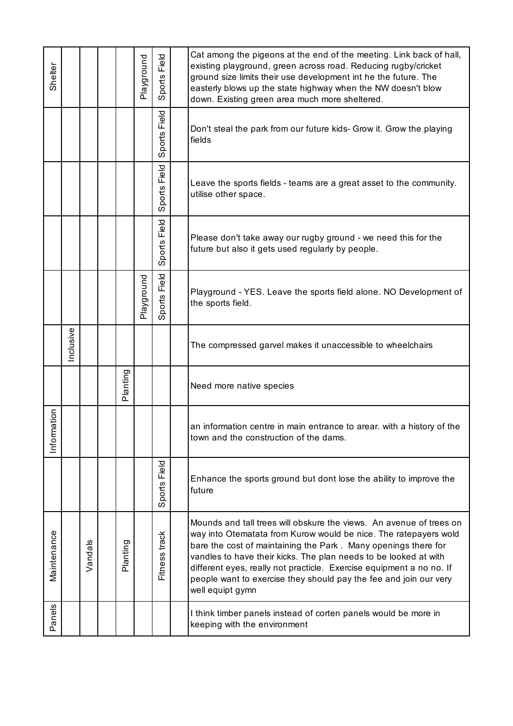| Shelter     |           |         |          | Playground | Field<br>Sports | Cat among the pigeons at the end of the meeting. Link back of hall,<br>existing playground, green across road. Reducing rugby/cricket<br>ground size limits their use development int he the future. The<br>easterly blows up the state highway when the NW doesn't blow<br>down. Existing green area much more sheltered.                                                                                                                     |
|-------------|-----------|---------|----------|------------|-----------------|------------------------------------------------------------------------------------------------------------------------------------------------------------------------------------------------------------------------------------------------------------------------------------------------------------------------------------------------------------------------------------------------------------------------------------------------|
|             |           |         |          |            | Field<br>Sports | Don't steal the park from our future kids- Grow it. Grow the playing<br>fields                                                                                                                                                                                                                                                                                                                                                                 |
|             |           |         |          |            | Field<br>Sports | Leave the sports fields - teams are a great asset to the community.<br>utilise other space.                                                                                                                                                                                                                                                                                                                                                    |
|             |           |         |          |            | Field<br>Sports | Please don't take away our rugby ground - we need this for the<br>future but also it gets used regularly by people.                                                                                                                                                                                                                                                                                                                            |
|             |           |         |          | Playground | Field<br>Sports | Playground - YES. Leave the sports field alone. NO Development of<br>the sports field.                                                                                                                                                                                                                                                                                                                                                         |
|             | Inclusive |         |          |            |                 | The compressed garvel makes it unaccessible to wheelchairs                                                                                                                                                                                                                                                                                                                                                                                     |
|             |           |         | Planting |            |                 | Need more native species                                                                                                                                                                                                                                                                                                                                                                                                                       |
| Information |           |         |          |            |                 | an information centre in main entrance to arear. with a history of the<br>town and the construction of the dams.                                                                                                                                                                                                                                                                                                                               |
|             |           |         |          |            | Field<br>Sports | Enhance the sports ground but dont lose the ability to improve the<br>future                                                                                                                                                                                                                                                                                                                                                                   |
| Maintenance |           | Vandals | Planting |            | Fitness track   | Mounds and tall trees will obskure the views. An avenue of trees on<br>way into Otematata from Kurow would be nice. The ratepayers wold<br>bare the cost of maintaining the Park. Many openings there for<br>vandles to have their kicks. The plan needs to be looked at with<br>different eyes, really not practicle. Exercise equipment a no no. If<br>people want to exercise they should pay the fee and join our very<br>well equipt gymn |
| Panels      |           |         |          |            |                 | I think timber panels instead of corten panels would be more in<br>keeping with the environment                                                                                                                                                                                                                                                                                                                                                |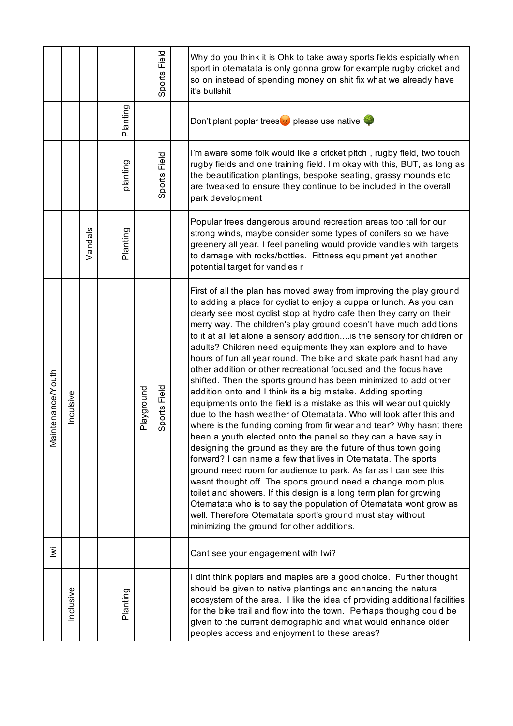|                       |           |         |          |            | Field<br>Sports | Why do you think it is Ohk to take away sports fields espicially when<br>sport in otematata is only gonna grow for example rugby cricket and<br>so on instead of spending money on shit fix what we already have<br>it's bullshit                                                                                                                                                                                                                                                                                                                                                                                                                                                                                                                                                                                                                                                                                                                                                                                                                                                                                                                                                                                                                                                                                                                                                                                                                                                                                                  |
|-----------------------|-----------|---------|----------|------------|-----------------|------------------------------------------------------------------------------------------------------------------------------------------------------------------------------------------------------------------------------------------------------------------------------------------------------------------------------------------------------------------------------------------------------------------------------------------------------------------------------------------------------------------------------------------------------------------------------------------------------------------------------------------------------------------------------------------------------------------------------------------------------------------------------------------------------------------------------------------------------------------------------------------------------------------------------------------------------------------------------------------------------------------------------------------------------------------------------------------------------------------------------------------------------------------------------------------------------------------------------------------------------------------------------------------------------------------------------------------------------------------------------------------------------------------------------------------------------------------------------------------------------------------------------------|
|                       |           |         | Planting |            |                 | Don't plant poplar trees <sup>10</sup> please use native                                                                                                                                                                                                                                                                                                                                                                                                                                                                                                                                                                                                                                                                                                                                                                                                                                                                                                                                                                                                                                                                                                                                                                                                                                                                                                                                                                                                                                                                           |
|                       |           |         | planting |            | Field<br>Sports | I'm aware some folk would like a cricket pitch, rugby field, two touch<br>rugby fields and one training field. I'm okay with this, BUT, as long as<br>the beautification plantings, bespoke seating, grassy mounds etc<br>are tweaked to ensure they continue to be included in the overall<br>park development                                                                                                                                                                                                                                                                                                                                                                                                                                                                                                                                                                                                                                                                                                                                                                                                                                                                                                                                                                                                                                                                                                                                                                                                                    |
|                       |           | Vandals | Planting |            |                 | Popular trees dangerous around recreation areas too tall for our<br>strong winds, maybe consider some types of conifers so we have<br>greenery all year. I feel paneling would provide vandles with targets<br>to damage with rocks/bottles. Fittness equipment yet another<br>potential target for vandles r                                                                                                                                                                                                                                                                                                                                                                                                                                                                                                                                                                                                                                                                                                                                                                                                                                                                                                                                                                                                                                                                                                                                                                                                                      |
| ntenance/Youth<br>Nai | Inculsive |         |          | Playground | Field<br>Sports | First of all the plan has moved away from improving the play ground<br>to adding a place for cyclist to enjoy a cuppa or lunch. As you can<br>clearly see most cyclist stop at hydro cafe then they carry on their<br>merry way. The children's play ground doesn't have much additions<br>to it at all let alone a sensory addition is the sensory for children or<br>adults? Children need equipments they xan explore and to have<br>hours of fun all year round. The bike and skate park hasnt had any<br>other addition or other recreational focused and the focus have<br>shifted. Then the sports ground has been minimized to add other<br>addition onto and I think its a big mistake. Adding sporting<br>equipments onto the field is a mistake as this will wear out quickly<br>due to the hash weather of Otematata. Who will look after this and<br>where is the funding coming from fir wear and tear? Why hasnt there<br>been a youth elected onto the panel so they can a have say in<br>designing the ground as they are the future of thus town going<br>forward? I can name a few that lives in Otematata. The sports<br>ground need room for audience to park. As far as I can see this<br>wasnt thought off. The sports ground need a change room plus<br>toilet and showers. If this design is a long term plan for growing<br>Otematata who is to say the population of Otematata wont grow as<br>well. Therefore Otematata sport's ground must stay without<br>minimizing the ground for other additions. |
| Σ                     |           |         |          |            |                 | Cant see your engagement with Iwi?                                                                                                                                                                                                                                                                                                                                                                                                                                                                                                                                                                                                                                                                                                                                                                                                                                                                                                                                                                                                                                                                                                                                                                                                                                                                                                                                                                                                                                                                                                 |
|                       | Inclusive |         | Planting |            |                 | I dint think poplars and maples are a good choice. Further thought<br>should be given to native plantings and enhancing the natural<br>ecosystem of the area. I like the idea of providing additional facilities<br>for the bike trail and flow into the town. Perhaps thoughg could be<br>given to the current demographic and what would enhance older<br>peoples access and enjoyment to these areas?                                                                                                                                                                                                                                                                                                                                                                                                                                                                                                                                                                                                                                                                                                                                                                                                                                                                                                                                                                                                                                                                                                                           |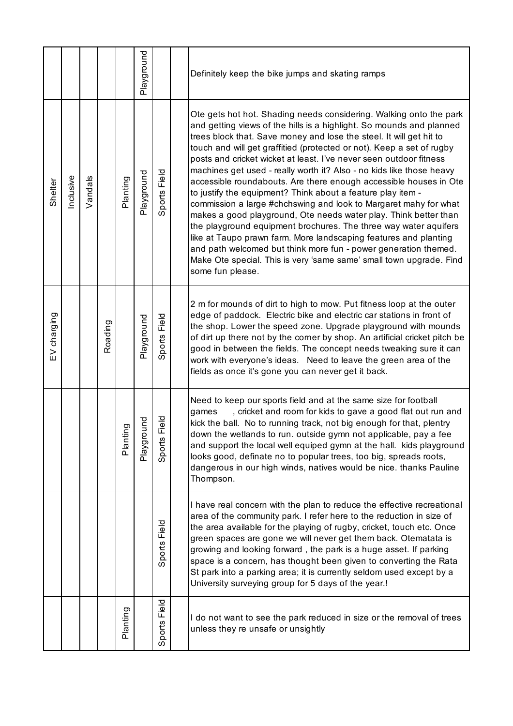|             |          |         |         |          | Playground |                 | Definitely keep the bike jumps and skating ramps                                                                                                                                                                                                                                                                                                                                                                                                                                                                                                                                                                                                                                                                                                                                                                                                                                                                                                                                                                           |
|-------------|----------|---------|---------|----------|------------|-----------------|----------------------------------------------------------------------------------------------------------------------------------------------------------------------------------------------------------------------------------------------------------------------------------------------------------------------------------------------------------------------------------------------------------------------------------------------------------------------------------------------------------------------------------------------------------------------------------------------------------------------------------------------------------------------------------------------------------------------------------------------------------------------------------------------------------------------------------------------------------------------------------------------------------------------------------------------------------------------------------------------------------------------------|
| Shelter     | nclusive | Vandals |         | Planting | Playground | Field<br>Sports | Ote gets hot hot. Shading needs considering. Walking onto the park<br>and getting views of the hills is a highlight. So mounds and planned<br>trees block that. Save money and lose the steel. It will get hit to<br>touch and will get graffitied (protected or not). Keep a set of rugby<br>posts and cricket wicket at least. I've never seen outdoor fitness<br>machines get used - really worth it? Also - no kids like those heavy<br>accessible roundabouts. Are there enough accessible houses in Ote<br>to justify the equipment? Think about a feature play item -<br>commission a large #chchswing and look to Margaret mahy for what<br>makes a good playground, Ote needs water play. Think better than<br>the playground equipment brochures. The three way water aquifers<br>like at Taupo prawn farm. More landscaping features and planting<br>and path welcomed but think more fun - power generation themed.<br>Make Ote special. This is very 'same same' small town upgrade. Find<br>some fun please. |
| EV charging |          |         | Roading |          | Playground | Field<br>Sports | 2 m for mounds of dirt to high to mow. Put fitness loop at the outer<br>edge of paddock. Electric bike and electric car stations in front of<br>the shop. Lower the speed zone. Upgrade playground with mounds<br>of dirt up there not by the corner by shop. An artificial cricket pitch be<br>good in between the fields. The concept needs tweaking sure it can<br>work with everyone's ideas. Need to leave the green area of the<br>fields as once it's gone you can never get it back.                                                                                                                                                                                                                                                                                                                                                                                                                                                                                                                               |
|             |          |         |         | Planting | Playground | Field<br>Sports | Need to keep our sports field and at the same size for football<br>, cricket and room for kids to gave a good flat out run and<br>games<br>kick the ball. No to running track, not big enough for that, plentry<br>down the wetlands to run. outside gymn not applicable, pay a fee<br>and support the local well equiped gymn at the hall. kids playground<br>looks good, definate no to popular trees, too big, spreads roots,<br>dangerous in our high winds, natives would be nice. thanks Pauline<br>Thompson.                                                                                                                                                                                                                                                                                                                                                                                                                                                                                                        |
|             |          |         |         |          |            | Field<br>Sports | I have real concern with the plan to reduce the effective recreational<br>area of the community park. I refer here to the reduction in size of<br>the area available for the playing of rugby, cricket, touch etc. Once<br>green spaces are gone we will never get them back. Otematata is<br>growing and looking forward, the park is a huge asset. If parking<br>space is a concern, has thought been given to converting the Rata<br>St park into a parking area; it is currently seldom used except by a<br>University surveying group for 5 days of the year.!                                                                                                                                                                                                                                                                                                                                                                                                                                                        |
|             |          |         |         | Planting |            | Field<br>Sports | I do not want to see the park reduced in size or the removal of trees<br>unless they re unsafe or unsightly                                                                                                                                                                                                                                                                                                                                                                                                                                                                                                                                                                                                                                                                                                                                                                                                                                                                                                                |